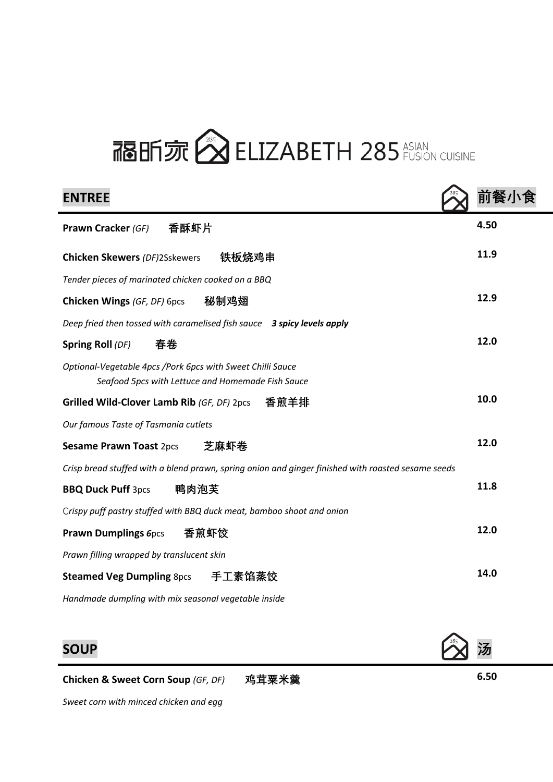# 福昕 尔 <>>
ELIZABETH 285 ASIAN

| <b>ENTREE</b>                                                                                                   | 前餐   |
|-----------------------------------------------------------------------------------------------------------------|------|
| 香酥虾片<br><b>Prawn Cracker (GF)</b>                                                                               | 4.50 |
| 铁板烧鸡串<br><b>Chicken Skewers (DF)2Sskewers</b>                                                                   | 11.9 |
| Tender pieces of marinated chicken cooked on a BBQ                                                              |      |
| 秘制鸡翅<br><b>Chicken Wings (GF, DF) 6pcs</b>                                                                      | 12.9 |
| Deep fried then tossed with caramelised fish sauce 3 spicy levels apply                                         |      |
| 春卷<br>Spring Roll (DF)                                                                                          | 12.0 |
| Optional-Vegetable 4pcs /Pork 6pcs with Sweet Chilli Sauce<br>Seafood 5pcs with Lettuce and Homemade Fish Sauce |      |
| Grilled Wild-Clover Lamb Rib (GF, DF) 2pcs<br>香煎羊排                                                              | 10.0 |
| Our famous Taste of Tasmania cutlets                                                                            |      |
| 芝麻虾卷<br><b>Sesame Prawn Toast 2pcs</b>                                                                          | 12.0 |
| Crisp bread stuffed with a blend prawn, spring onion and ginger finished with roasted sesame seeds              |      |
| 鸭肉泡芙<br><b>BBQ Duck Puff 3pcs</b>                                                                               | 11.8 |
| Crispy puff pastry stuffed with BBQ duck meat, bamboo shoot and onion                                           |      |
| 香煎虾饺<br><b>Prawn Dumplings 6pcs</b>                                                                             | 12.0 |
| Prawn filling wrapped by translucent skin                                                                       |      |
| Steamed Veg Dumpling 8pcs 手工素馅蒸饺                                                                                | 14.0 |
| Handmade dumpling with mix seasonal vegetable inside                                                            |      |



*Sweet corn with minced chicken and egg*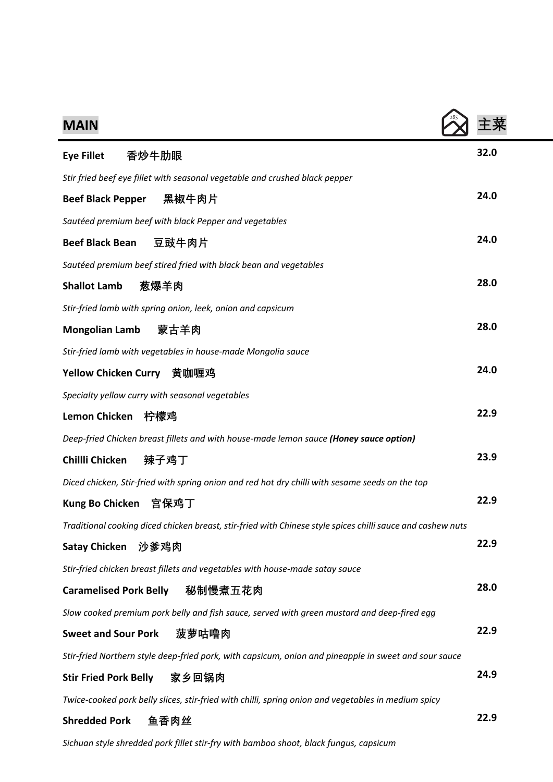| <b>MAIN</b>                                                                                                 |      |
|-------------------------------------------------------------------------------------------------------------|------|
| 香炒牛肋眼<br><b>Eye Fillet</b>                                                                                  | 32.0 |
| Stir fried beef eye fillet with seasonal vegetable and crushed black pepper                                 |      |
| 黑椒牛肉片<br><b>Beef Black Pepper</b>                                                                           | 24.0 |
| Sautéed premium beef with black Pepper and vegetables                                                       |      |
| <b>Beef Black Bean</b><br>豆豉牛肉片                                                                             | 24.0 |
| Sautéed premium beef stired fried with black bean and vegetables                                            |      |
| <b>Shallot Lamb</b><br>葱爆羊肉                                                                                 | 28.0 |
| Stir-fried lamb with spring onion, leek, onion and capsicum                                                 |      |
| 蒙古羊肉<br><b>Mongolian Lamb</b>                                                                               | 28.0 |
| Stir-fried lamb with vegetables in house-made Mongolia sauce                                                |      |
| Yellow Chicken Curry 黄咖喱鸡                                                                                   | 24.0 |
| Specialty yellow curry with seasonal vegetables                                                             |      |
| <b>Lemon Chicken</b><br>柠檬鸡                                                                                 | 22.9 |
| Deep-fried Chicken breast fillets and with house-made lemon sauce (Honey sauce option)                      |      |
| 辣子鸡丁<br>Chillli Chicken                                                                                     | 23.9 |
| Diced chicken, Stir-fried with spring onion and red hot dry chilli with sesame seeds on the top             |      |
| <b>Kung Bo Chicken</b><br>宫保鸡丁                                                                              | 22.9 |
| Traditional cooking diced chicken breast, stir-fried with Chinese style spices chilli sauce and cashew nuts |      |
| <b>Satay Chicken</b><br>沙爹鸡肉                                                                                | 22.9 |
| Stir-fried chicken breast fillets and vegetables with house-made satay sauce                                |      |
| 秘制慢煮五花肉<br><b>Caramelised Pork Belly</b>                                                                    | 28.0 |
| Slow cooked premium pork belly and fish sauce, served with green mustard and deep-fired egg                 |      |
| 菠萝咕噜肉<br><b>Sweet and Sour Pork</b>                                                                         | 22.9 |
| Stir-fried Northern style deep-fried pork, with capsicum, onion and pineapple in sweet and sour sauce       |      |
| <b>Stir Fried Pork Belly</b><br>家乡回锅肉                                                                       | 24.9 |
| Twice-cooked pork belly slices, stir-fried with chilli, spring onion and vegetables in medium spicy         |      |
| <b>Shredded Pork</b><br>鱼香肉丝                                                                                | 22.9 |

*Sichuan style shredded pork fillet stir-fry with bamboo shoot, black fungus, capsicum*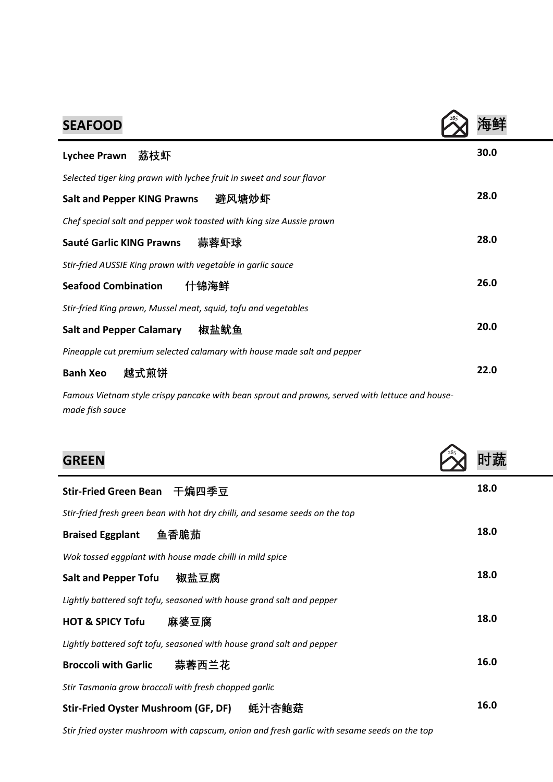| <b>SEAFOOD</b>                                                          |      |
|-------------------------------------------------------------------------|------|
| 茘枝虾<br><b>Lychee Prawn</b>                                              | 30.0 |
| Selected tiger king prawn with lychee fruit in sweet and sour flavor    |      |
| 避风塘炒虾<br><b>Salt and Pepper KING Prawns</b>                             | 28.0 |
| Chef special salt and pepper wok toasted with king size Aussie prawn    |      |
| 蒜蓉虾球<br>Sauté Garlic KING Prawns                                        | 28.0 |
| Stir-fried AUSSIE King prawn with vegetable in garlic sauce             |      |
| 什锦海鲜<br><b>Seafood Combination</b>                                      | 26.0 |
| Stir-fried King prawn, Mussel meat, squid, tofu and vegetables          |      |
| 椒盐鱿鱼<br><b>Salt and Pepper Calamary</b>                                 | 20.0 |
| Pineapple cut premium selected calamary with house made salt and pepper |      |
| <b>Banh Xeo</b><br>越式煎饼                                                 | 22.0 |

*Famous Vietnam style crispy pancake with bean sprout and prawns, served with lettuce and housemade fish sauce*

| <b>GREEN</b>                                                                 |      |
|------------------------------------------------------------------------------|------|
| 干煸四季豆<br><b>Stir-Fried Green Bean</b>                                        | 18.0 |
| Stir-fried fresh green bean with hot dry chilli, and sesame seeds on the top |      |
| 鱼香脆茄<br><b>Braised Eggplant</b>                                              | 18.0 |
| Wok tossed eggplant with house made chilli in mild spice                     |      |
| 椒盐豆腐<br><b>Salt and Pepper Tofu</b>                                          | 18.0 |
| Lightly battered soft tofu, seasoned with house grand salt and pepper        |      |
| 麻婆豆腐<br><b>HOT &amp; SPICY Tofu</b>                                          | 18.0 |
| Lightly battered soft tofu, seasoned with house grand salt and pepper        |      |
| 蒜蓉西兰花<br><b>Broccoli with Garlic</b>                                         | 16.0 |
| Stir Tasmania grow broccoli with fresh chopped garlic                        |      |
| Stir-Fried Oyster Mushroom (GF, DF)<br>蚝汁杏鲍菇                                 | 16.0 |

*Stir fried oyster mushroom with capscum, onion and fresh garlic with sesame seeds on the top*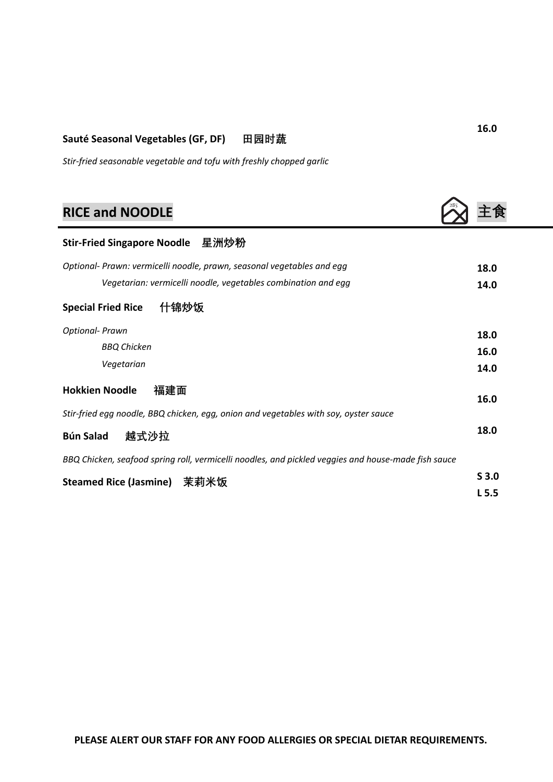#### **Sauté Seasonal Vegetables (GF, DF) 田园时蔬**

*Stir-fried seasonable vegetable and tofu with freshly chopped garlic*

## **RICE and NOODLE the contract of the contract of the contract of the contract of the contract of the contract of the contract of the contract of the contract of the contract of the contract of the contract of the contra**

| Stir-Fried Singapore Noodle 星洲炒粉                                                                    |                  |
|-----------------------------------------------------------------------------------------------------|------------------|
| Optional- Prawn: vermicelli noodle, prawn, seasonal vegetables and egg                              | 18.0             |
| Vegetarian: vermicelli noodle, vegetables combination and egg                                       | 14.0             |
| 什锦炒饭<br><b>Special Fried Rice</b>                                                                   |                  |
| <b>Optional- Prawn</b>                                                                              | 18.0             |
| <b>BBQ Chicken</b>                                                                                  | 16.0             |
| Vegetarian                                                                                          | 14.0             |
| <b>Hokkien Noodle</b><br>福建面                                                                        | 16.0             |
| Stir-fried egg noodle, BBQ chicken, egg, onion and vegetables with soy, oyster sauce                |                  |
| 越式沙拉<br><b>Bún Salad</b>                                                                            | 18.0             |
| BBQ Chicken, seafood spring roll, vermicelli noodles, and pickled veggies and house-made fish sauce |                  |
| <b>Steamed Rice (Jasmine)</b><br>茉莉米饭                                                               | S <sub>3.0</sub> |

**16.0**

**L 5.5**